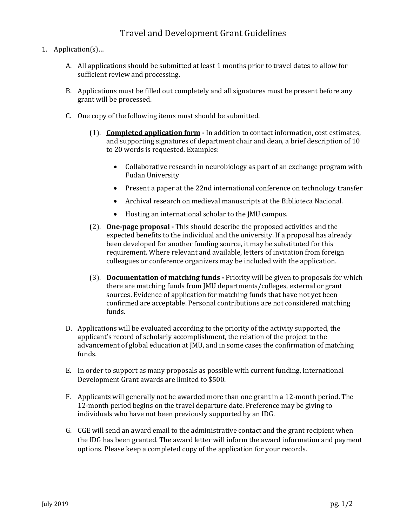## Travel and Development Grant Guidelines

- 1. Application(s)…
	- A. All applications should be submitted at least 1 months prior to travel dates to allow for sufficient review and processing.
	- B. Applications must be filled out completely and all signatures must be present before any grant will be processed.
	- C. One copy of the following items must should be submitted.
		- (1). **[Completed application form](https://www.jmu.edu/global/abroad/faculty/IDG_Application1.docx) -** In addition to contact information, cost estimates, and supporting signatures of department chair and dean, a brief description of 10 to 20 words is requested. Examples:
			- Collaborative research in neurobiology as part of an exchange program with Fudan University
			- Present a paper at the 22nd international conference on technology transfer
			- Archival research on medieval manuscripts at the Biblioteca Nacional.
			- Hosting an international scholar to the JMU campus.
		- requirement. Where relevant and available, letters of invitation from foreign<br>collectives or conference erganizers may be included with the application (2). **One-page proposal -** This should describe the proposed activities and the expected benefits to the individual and the university. If a proposal has already been developed for another funding source, it may be substituted for this colleagues or conference organizers may be included with the application.
		- (3). **Documentation of matching funds -** Priority will be given to proposals for which there are matching funds from JMU departments/colleges, external or grant sources. Evidence of application for matching funds that have not yet been confirmed are acceptable. Personal contributions are not considered matching funds.
	- D. Applications will be evaluated according to the priority of the activity supported, the applicant's record of scholarly accomplishment, the relation of the project to the advancement of global education at JMU, and in some cases the confirmation of matching funds.
	- E. In order to support as many proposals as possible with current funding, International Development Grant awards are limited to \$500.
	- F. Applicants will generally not be awarded more than one grant in a 12-month period. The 12-month period begins on the travel departure date. Preference may be giving to individuals who have not been previously supported by an IDG.
	- G. CGE will send an award email to the administrative contact and the grant recipient when the IDG has been granted. The award letter will inform the award information and payment options. Please keep a completed copy of the application for your records.